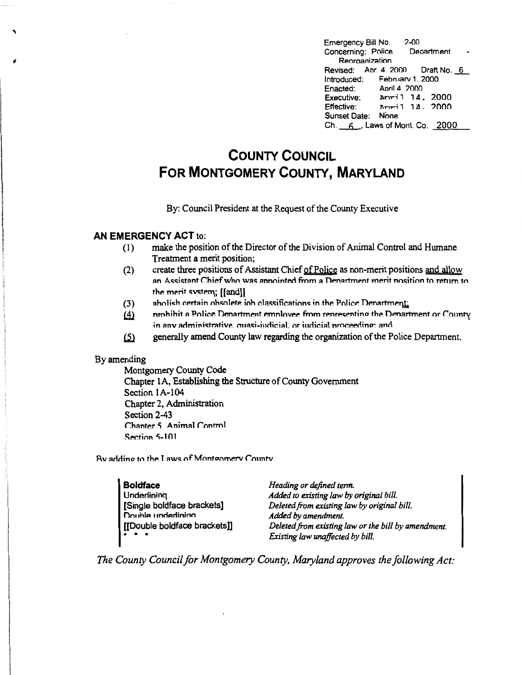$2 - 00$ Emergency Bill No. Concerning: Police Department Reorganization Revised: Apr. 4. 2000 Draft No. 6 Introduced; February 1, 2000 April 4, 2000 Enacted: Executive: Anril 14, 2000 Effective:  $\Delta$ pril 14, 2000 Sunset Date: None Ch. 6, Laws of Mont. Co. 2000

## **COUNTY COUNCIL** FOR MONTGOMERY COUNTY, MARYLAND

By: Council President at the Request of the County Executive

## **AN EMERGENCY ACT to:**

- make the position of the Director of the Division of Animal Control and Humane  $(1)$ Treatment a merit position;
- create three positions of Assistant Chief of Police as non-merit positions and allow  $(2)$ an Assistant Chief who was annointed from a Denartment merit nosition to return to the merit system; [[and]]
- abolish certain obsolete iob classifications in the Police Denartment:  $(3)$
- prohibit a Police Department employee from representing the Department or County  $(4)$ in any administrative, quasi-judicial, or judicial proceeding; and
- generally amend County law regarding the organization of the Police Department.  $(5)$

## By amending

Montgomery County Code Chapter 1A, Establishing the Structure of County Government Section 1A-104 Chapter 2, Administration Section 2-43 Chanter 5, Animal Control Section 5-101

By adding to the Laws of Montgomery County

| <b>Boldface</b>                                                                             | Heading or defined term.                            |
|---------------------------------------------------------------------------------------------|-----------------------------------------------------|
| Underlining                                                                                 | Added to existing law by original bill.             |
| [Single boldface brackets]                                                                  | Deleted from existing law by original bill.         |
| Double underlining                                                                          | Added by amendment.                                 |
| [[Double boldface brackets]]                                                                | Deleted from existing law or the bill by amendment. |
| $\begin{array}{cccccccccccccc} \bullet & \bullet & \bullet & \bullet & \bullet \end{array}$ | Existing law unaffected by bill.                    |

The County Council for Montgomery County, Maryland approves the following Act: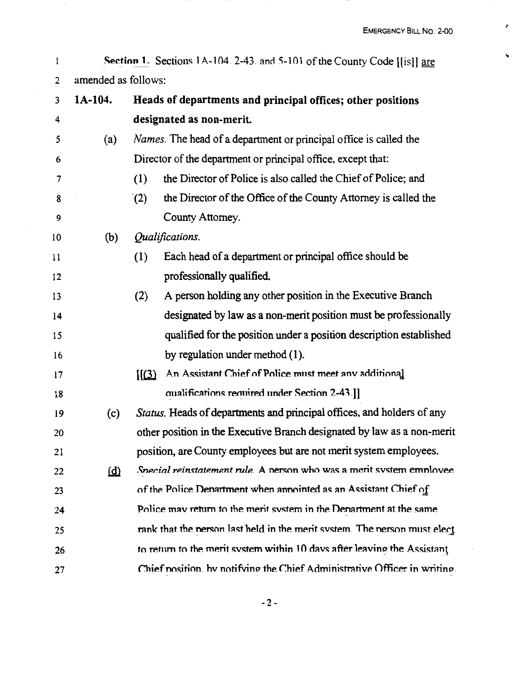r

 $\blacktriangledown$ 

**Section 1.** Sections 1A-104. 2-43. and 5-101 of the County Code [[is]] are  $\mathbf{I}$ 2 amended as follows:

| 3  | 1A-104. | Heads of departments and principal offices; other positions                         |
|----|---------|-------------------------------------------------------------------------------------|
| 4  |         | designated as non-merit.                                                            |
| 5  | (a)     | <i>Names.</i> The head of a department or principal office is called the            |
| 6  |         | Director of the department or principal office, except that:                        |
| 7  |         | (1)<br>the Director of Police is also called the Chief of Police; and               |
| 8  |         | the Director of the Office of the County Attorney is called the<br>(2)              |
| 9  |         | County Attorney.                                                                    |
| 10 | (b)     | Qualifications.                                                                     |
| 11 |         | Each head of a department or principal office should be<br>(1)                      |
| 12 |         | professionally qualified.                                                           |
| 13 |         | A person holding any other position in the Executive Branch<br>(2)                  |
| 14 |         | designated by law as a non-merit position must be professionally                    |
| 15 |         | qualified for the position under a position description established                 |
| 16 |         | by regulation under method (1).                                                     |
| 17 |         | An Assistant Chief of Police must meet any additional<br>$\left[\frac{3}{2}\right]$ |
| 18 |         | qualifications required under Section 2-43.]]                                       |
| 19 | (c)     | Status. Heads of departments and principal offices, and holders of any              |
| 20 |         | other position in the Executive Branch designated by law as a non-merit             |
| 21 |         | position, are County employees but are not merit system employees.                  |
| 22 | (d)     | Special reinstatement rule. A nerson who was a merit system emnlovee                |
| 23 |         | of the Police Denartment when annointed as an Assistant Chief of                    |
| 24 |         | Police may return to the merit system in the Denartment at the same                 |
| 25 |         | rank that the nerson last held in the merit system. The nerson must elect           |
| 26 |         | to return to the merit system within 10 days after leaving the Assistant            |
| 27 |         | Chief position, by notifying the Chief Administrative Officer in writing.           |

-2-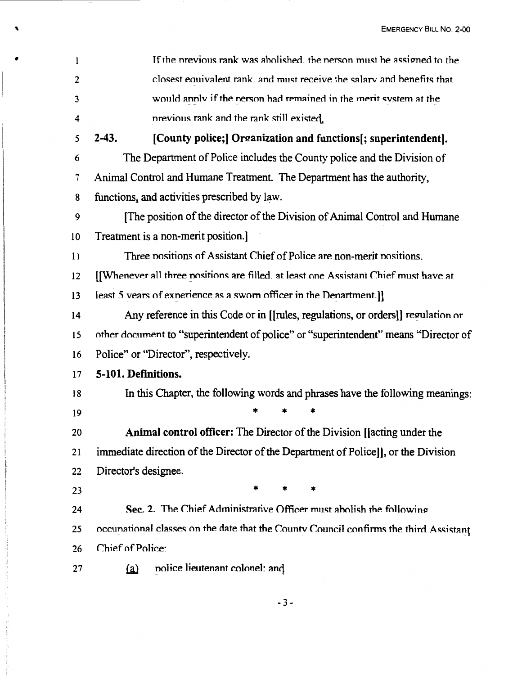| 1  | If the previous rank was abolished, the person must be assigned to the                |  |  |
|----|---------------------------------------------------------------------------------------|--|--|
| 2  | closest equivalent rank, and must receive the salary and benefits that                |  |  |
| 3  | would annly if the nerson had remained in the merit system at the                     |  |  |
| 4  | previous rank and the rank still existed.                                             |  |  |
| 5  | $2-43.$<br>[County police;] Organization and functions[; superintendent].             |  |  |
| 6  | The Department of Police includes the County police and the Division of               |  |  |
| 7  | Animal Control and Humane Treatment. The Department has the authority,                |  |  |
| 8  | functions, and activities prescribed by law.                                          |  |  |
| 9  | [The position of the director of the Division of Animal Control and Humane            |  |  |
| 10 | Treatment is a non-merit position.]                                                   |  |  |
| 11 | Three positions of Assistant Chief of Police are non-merit positions.                 |  |  |
| 12 | [[Whenever all three nositions are filled. at least one Assistant Chief must have at  |  |  |
| 13 | least 5 vears of experience as a sworn officer in the Department.]                    |  |  |
| 14 | Any reference in this Code or in [[rules, regulations, or orders]] regulation or      |  |  |
| 15 | other document to "superintendent of police" or "superintendent" means "Director of   |  |  |
| 16 | Police" or "Director", respectively.                                                  |  |  |
| 17 | 5-101. Definitions.                                                                   |  |  |
| 18 | In this Chapter, the following words and phrases have the following meanings:         |  |  |
| 19 |                                                                                       |  |  |
| 20 | <b>Animal control officer:</b> The Director of the Division [[acting under the        |  |  |
| 21 | immediate direction of the Director of the Department of Police]], or the Division    |  |  |
| 22 | Director's designee.                                                                  |  |  |
| 23 | *<br>*                                                                                |  |  |
| 24 | Sec. 2. The Chief Administrative Officer must abolish the following                   |  |  |
| 25 | occunational classes on the date that the County Council confirms the third Assistant |  |  |
| 26 | Chief of Police:                                                                      |  |  |
| 27 | nolice lieutenant colonel: and<br><u>(a)</u>                                          |  |  |

 $\blacktriangledown$ 

 $-3-$